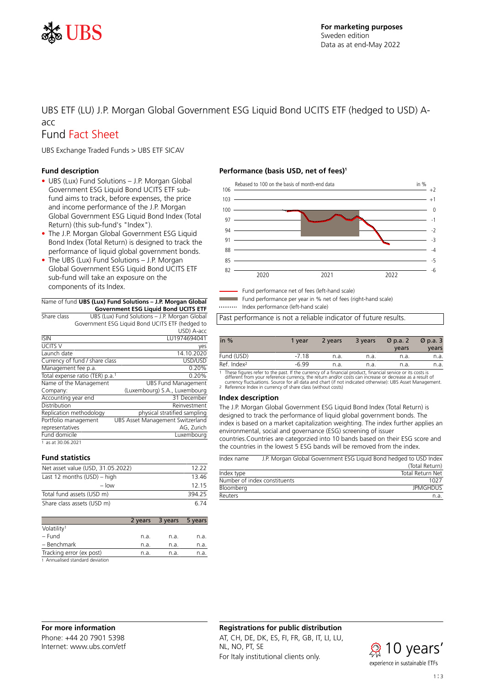

# UBS ETF (LU) J.P. Morgan Global Government ESG Liquid Bond UCITS ETF (hedged to USD) Aacc

# Fund Fact Sheet

UBS Exchange Traded Funds > UBS ETF SICAV

# **Fund description**

- UBS (Lux) Fund Solutions J.P. Morgan Global Government ESG Liquid Bond UCITS ETF subfund aims to track, before expenses, the price and income performance of the J.P. Morgan Global Government ESG Liquid Bond Index (Total Return) (this sub-fund's "Index").
- The J.P. Morgan Global Government ESG Liquid Bond Index (Total Return) is designed to track the performance of liquid global government bonds.
- The UBS (Lux) Fund Solutions J.P. Morgan Global Government ESG Liquid Bond UCITS ETF sub-fund will take an exposure on the components of its Index.

#### Name of fund **UBS (Lux) Fund Solutions – J.P. Morgan Global Government ESG Liquid Bond UCITS ETF**

|                                             |                                               | QOVEITIIIIEIIL LJQ LIUUIU DOIIU OCITJ LTT       |       |  |  |
|---------------------------------------------|-----------------------------------------------|-------------------------------------------------|-------|--|--|
| Share class                                 | UBS (Lux) Fund Solutions - J.P. Morgan Global |                                                 |       |  |  |
|                                             |                                               | Government ESG Liquid Bond UCITS ETF (hedged to |       |  |  |
|                                             |                                               | USD) A-acc                                      |       |  |  |
| <b>ISIN</b>                                 |                                               | LU1974694041                                    |       |  |  |
| UCITS <sub>V</sub>                          |                                               |                                                 | yes   |  |  |
| Launch date                                 |                                               | 14.10.2020                                      |       |  |  |
| Currency of fund / share class              |                                               | USD/USD                                         |       |  |  |
| Management fee p.a.                         |                                               |                                                 | 0.20% |  |  |
| Total expense ratio (TER) p.a. <sup>1</sup> |                                               |                                                 | 0.20% |  |  |
| Name of the Management                      |                                               | <b>UBS Fund Management</b>                      |       |  |  |
| Company:                                    |                                               | (Luxembourg) S.A., Luxembourg                   |       |  |  |
| Accounting year end                         |                                               | 31 December                                     |       |  |  |
| Distribution                                |                                               | Reinvestment                                    |       |  |  |
| Replication methodology                     |                                               | physical stratified sampling                    |       |  |  |
| Portfolio management                        |                                               | UBS Asset Management Switzerland                |       |  |  |
| representatives                             |                                               | AG, Zurich                                      |       |  |  |
| Fund domicile                               |                                               | Luxembourg                                      |       |  |  |
| 1 as at 30.06.2021                          |                                               |                                                 |       |  |  |

## **Fund statistics**

| Net asset value (USD, 31.05.2022) | 12, 22 |
|-----------------------------------|--------|
| Last 12 months (USD) - high       | 1346   |
| $-$ low                           | 12 15  |
| Total fund assets (USD m)         | 394.25 |
| Share class assets (USD m)        | 6.74   |

|                                                   | 2 years | 3 years | 5 years |
|---------------------------------------------------|---------|---------|---------|
| Volatility <sup>1</sup>                           |         |         |         |
| – Fund                                            | n.a.    | n.a.    | n.a.    |
| - Benchmark                                       | n.a.    | n.a.    | n.a.    |
| Tracking error (ex post)                          | n.a.    | n.a.    | n.a.    |
| the America Department of a product of a triangle |         |         |         |

1 Annualised standard deviation

# **Performance (basis USD, net of fees)<sup>1</sup>**



Fund performance net of fees (left-hand scale) Fund performance per year in % net of fees (right-hand scale)

Index performance (left-hand scale)

Past performance is not a reliable indicator of future results.

| in $%$                                    | 1 vear  | 2 years | 3 years | $\varnothing$ p.a. 2<br>vears | $\varnothing$ p.a. 3<br>years |
|-------------------------------------------|---------|---------|---------|-------------------------------|-------------------------------|
| Fund (USD)                                | $-7.18$ | n.a.    | n.a.    | n.a.                          | n.a.                          |
| Ref. Index <sup>2</sup>                   | $-6.99$ | n.a.    | n.a.    | n.a.                          | n.a.                          |
| $\sim$ $\sim$ $\sim$ $\sim$ $\sim$ $\sim$ |         |         |         | $\sim$                        |                               |

1 These figures refer to the past. If the currency of a financial product, financial service or its costs is<br>different from your reference currency, the return and/or costs can increase or decrease as a result of<br>currency

### **Index description**

The J.P. Morgan Global Government ESG Liquid Bond Index (Total Return) is designed to track the performance of liquid global government bonds. The index is based on a market capitalization weighting. The index further applies an environmental, social and governance (ESG) screening of issuer countries.Countries are categorzied into 10 bands based on their ESG score and the countries in the lowest 5 ESG bands will be removed from the index.

| Index name |                              | J.P. Morgan Global Government ESG Liquid Bond hedged to USD Index |
|------------|------------------------------|-------------------------------------------------------------------|
|            |                              | (Total Return)                                                    |
| Index type |                              | Total Return Net                                                  |
|            | Number of index constituents | 1027                                                              |
| Bloomberg  |                              | <b>JPMGHDUS</b>                                                   |
| Reuters    |                              | n a                                                               |

# **For more information**

Phone: +44 20 7901 5398 Internet: www.ubs.com/etf

# **Registrations for public distribution**

AT, CH, DE, DK, ES, FI, FR, GB, IT, LI, LU, NL, NO, PT, SE For Italy institutional clients only.

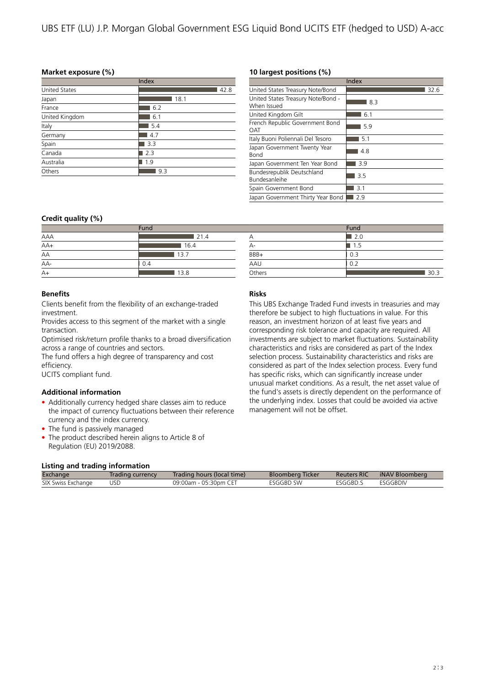# **Market exposure (%)**

| Index                |      |  |  |  |
|----------------------|------|--|--|--|
| <b>United States</b> | 42.8 |  |  |  |
| Japan                | 18.1 |  |  |  |
| France               | 6.2  |  |  |  |
| United Kingdom       | 6.1  |  |  |  |
| Italy                | 5.4  |  |  |  |
| Germany              | 4.7  |  |  |  |
| Spain                | 3.3  |  |  |  |
| Canada               | 2.3  |  |  |  |
| Australia            | 1.9  |  |  |  |
| Others               | 9.3  |  |  |  |

## **10 largest positions (%)**

 $\overline{A}$  2.0  $A$ - 1.5  $\overline{BBB+}$  0.3 AAU 0.2

|                                                   | Index |
|---------------------------------------------------|-------|
| United States Treasury Note/Bond                  | 32.6  |
| United States Treasury Note/Bond -<br>When Issued | 8.3   |
| United Kingdom Gilt                               | 6.1   |
| French Republic Government Bond<br><b>OAT</b>     | 5.9   |
| Italy Buoni Poliennali Del Tesoro                 | 5.1   |
| Japan Government Twenty Year<br><b>Bond</b>       | 4.8   |
| Japan Government Ten Year Bond                    | 3.9   |
| Bundesrepublik Deutschland<br>Bundesanleihe       | 3.5   |
| Spain Government Bond                             | 3.1   |
| Japan Government Thirty Year Bond                 | 2.9   |

**Fund** 

Others 30.3

# **Credit quality (%)**

| Fund  |      |  |  |
|-------|------|--|--|
| AAA   | 21.4 |  |  |
| $AA+$ | 16.4 |  |  |
| AA    | 13.7 |  |  |
| $AA-$ | 0.4  |  |  |
| $A+$  | 13.8 |  |  |

# **Benefits**

Clients benefit from the flexibility of an exchange-traded investment.

Provides access to this segment of the market with a single transaction.

Optimised risk/return profile thanks to a broad diversification across a range of countries and sectors.

The fund offers a high degree of transparency and cost efficiency.

UCITS compliant fund.

# **Additional information**

- Additionally currency hedged share classes aim to reduce the impact of currency fluctuations between their reference currency and the index currency.
- The fund is passively managed
- The product described herein aligns to Article 8 of Regulation (EU) 2019/2088.

# **Risks**

This UBS Exchange Traded Fund invests in treasuries and may therefore be subject to high fluctuations in value. For this reason, an investment horizon of at least five years and corresponding risk tolerance and capacity are required. All investments are subject to market fluctuations. Sustainability characteristics and risks are considered as part of the Index selection process. Sustainability characteristics and risks are considered as part of the Index selection process. Every fund has specific risks, which can significantly increase under unusual market conditions. As a result, the net asset value of the fund's assets is directly dependent on the performance of the underlying index. Losses that could be avoided via active management will not be offset.

## **Listing and trading information**

| Exchange           | Trading currency | Trading hours (local time) | <b>Bloomberg Ticker</b> | <b>Reuters RIC</b> | iNAV Bloomberg |  |  |
|--------------------|------------------|----------------------------|-------------------------|--------------------|----------------|--|--|
| SIX Swiss Exchange | USD              | 09:00am - 05:30pm CET      | <b>FSGGBD SW</b>        | FSGGBD.S           | FSGGBDIV       |  |  |